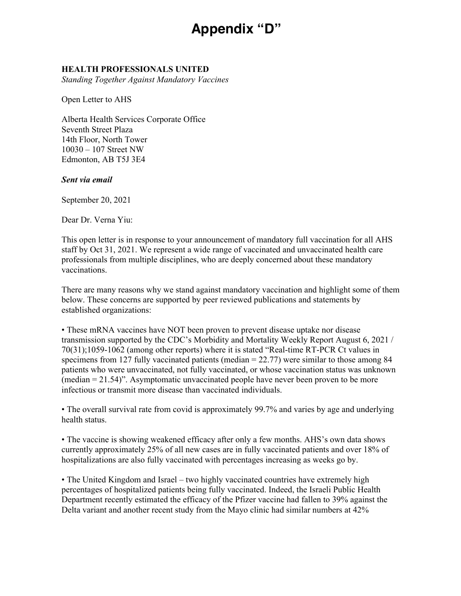## **Appendix "E" Appendix "D"**

## **HEALTH PROFESSIONALS UNITED**

*Standing Together Against Mandatory Vaccines*

Open Letter to AHS

Alberta Health Services Corporate Office Seventh Street Plaza 14th Floor, North Tower 10030 – 107 Street NW Edmonton, AB T5J 3E4

## *Sent via email*

September 20, 2021

Dear Dr. Verna Yiu:

This open letter is in response to your announcement of mandatory full vaccination for all AHS staff by Oct 31, 2021. We represent a wide range of vaccinated and unvaccinated health care professionals from multiple disciplines, who are deeply concerned about these mandatory vaccinations.

There are many reasons why we stand against mandatory vaccination and highlight some of them below. These concerns are supported by peer reviewed publications and statements by established organizations:

• These mRNA vaccines have NOT been proven to prevent disease uptake nor disease transmission supported by the CDC's Morbidity and Mortality Weekly Report August 6, 2021 / 70(31);1059-1062 (among other reports) where it is stated "Real-time RT-PCR Ct values in specimens from 127 fully vaccinated patients (median = 22.77) were similar to those among 84 patients who were unvaccinated, not fully vaccinated, or whose vaccination status was unknown (median = 21.54)". Asymptomatic unvaccinated people have never been proven to be more infectious or transmit more disease than vaccinated individuals.

• The overall survival rate from covid is approximately 99.7% and varies by age and underlying health status.

• The vaccine is showing weakened efficacy after only a few months. AHS's own data shows currently approximately 25% of all new cases are in fully vaccinated patients and over 18% of hospitalizations are also fully vaccinated with percentages increasing as weeks go by.

• The United Kingdom and Israel – two highly vaccinated countries have extremely high percentages of hospitalized patients being fully vaccinated. Indeed, the Israeli Public Health Department recently estimated the efficacy of the Pfizer vaccine had fallen to 39% against the Delta variant and another recent study from the Mayo clinic had similar numbers at 42%